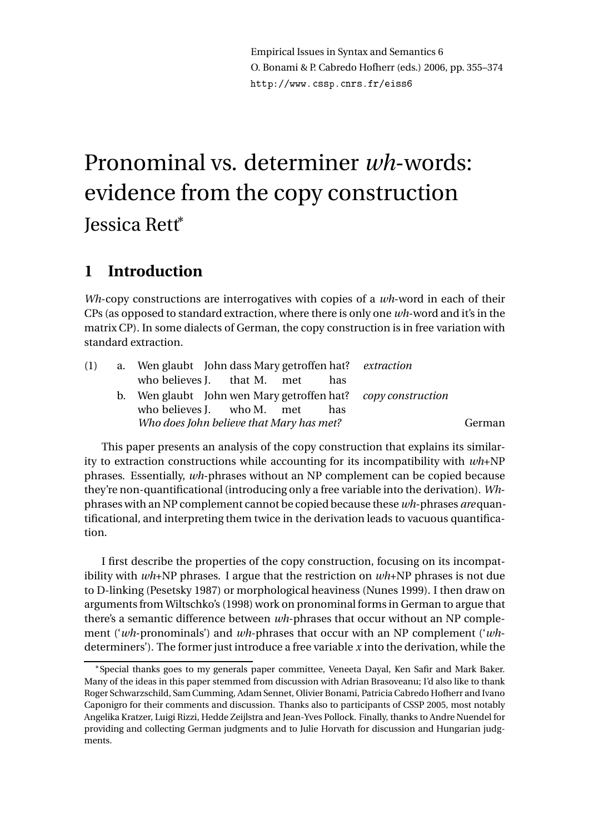Empirical Issues in Syntax and Semantics 6 O. Bonami & P. Cabredo Hofherr (eds.) 2006, pp. 355–374 http://www.
ssp.
nrs.fr/eiss6

# Pronominal vs. determiner *wh*-words: evidence from the copy construction Jessica Rett<sup>∗</sup>

# **1 Introduction**

*Wh*-copy constructions are interrogatives with copies of a *wh*-word in each of their CPs (as opposed to standard extraction, where there is only one *wh*-word and it's in the matrix CP). In some dialects of German, the copy construction is in free variation with standard extraction.

| (1) | a. Wen glaubt John dass Mary getroffen hat? <i>extraction</i> |        |
|-----|---------------------------------------------------------------|--------|
|     | who believes J. that M. met<br>has                            |        |
|     | b. Wen glaubt John wen Mary getroffen hat? copy construction  |        |
|     | who believes J. who M. met<br>has                             |        |
|     | Who does John believe that Mary has met?                      | German |
|     |                                                               |        |

This paper presents an analysis of the copy construction that explains its similarity to extraction constructions while accounting for its incompatibility with *wh*+NP phrases. Essentially, *wh*-phrases without an NP complement can be copied because they're non-quantificational (introducing only a free variable into the derivation). *Wh*phrases with an NP complement cannot be copied because these *wh*-phrases *are*quantificational, and interpreting them twice in the derivation leads to vacuous quantification.

I first describe the properties of the copy construction, focusing on its incompatibility with *wh*+NP phrases. I argue that the restriction on *wh*+NP phrases is not due to D-linking (Pesetsky 1987) or morphological heaviness (Nunes 1999). I then draw on arguments from Wiltschko's (1998) work on pronominal forms in German to argue that there's a semantic difference between *wh*-phrases that occur without an NP complement ('*wh*-pronominals') and *wh*-phrases that occur with an NP complement ('*wh*determiners'). The former just introduce a free variable *x* into the derivation, while the

<sup>∗</sup>Special thanks goes to my generals paper committee, Veneeta Dayal, Ken Safir and Mark Baker. Many of the ideas in this paper stemmed from discussion with Adrian Brasoveanu; I'd also like to thank Roger Schwarzschild, Sam Cumming, Adam Sennet, Olivier Bonami, Patricia Cabredo Hofherr and Ivano Caponigro for their comments and discussion. Thanks also to participants of CSSP 2005, most notably Angelika Kratzer, Luigi Rizzi, Hedde Zeijlstra and Jean-Yves Pollock. Finally, thanks to Andre Nuendel for providing and collecting German judgments and to Julie Horvath for discussion and Hungarian judgments.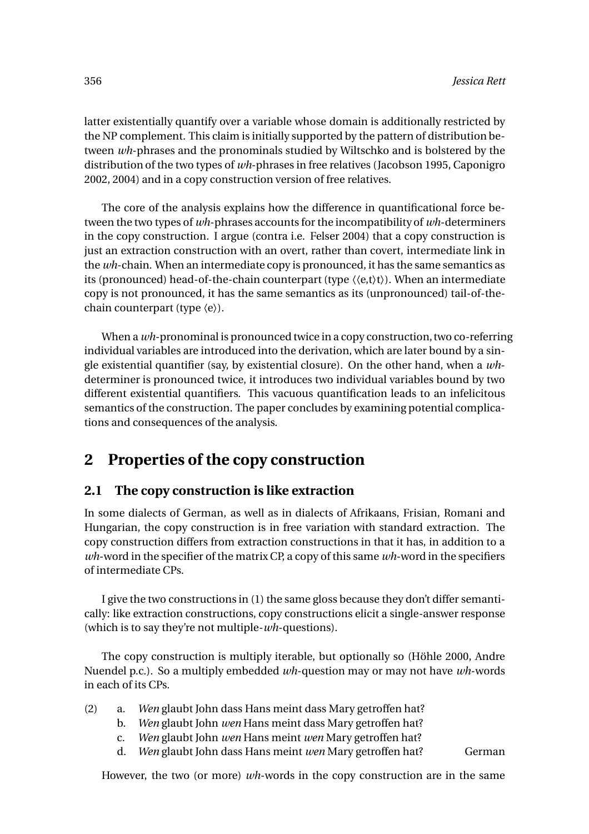latter existentially quantify over a variable whose domain is additionally restricted by the NP complement. This claim is initially supported by the pattern of distribution between *wh*-phrases and the pronominals studied by Wiltschko and is bolstered by the distribution of the two types of *wh*-phrases in free relatives (Jacobson 1995, Caponigro 2002, 2004) and in a copy construction version of free relatives.

The core of the analysis explains how the difference in quantificational force between the two types of *wh*-phrases accounts for the incompatibility of *wh*-determiners in the copy construction. I argue (contra i.e. Felser 2004) that a copy construction is just an extraction construction with an overt, rather than covert, intermediate link in the *wh*-chain. When an intermediate copy is pronounced, it has the same semantics as its (pronounced) head-of-the-chain counterpart (type  $\langle\langle e, t \rangle t \rangle$ ). When an intermediate copy is not pronounced, it has the same semantics as its (unpronounced) tail-of-thechain counterpart (type 〈e〉).

When a *wh*-pronominal is pronounced twice in a copy construction, two co-referring individual variables are introduced into the derivation, which are later bound by a single existential quantifier (say, by existential closure). On the other hand, when a *wh*determiner is pronounced twice, it introduces two individual variables bound by two different existential quantifiers. This vacuous quantification leads to an infelicitous semantics of the construction. The paper concludes by examining potential complications and consequences of the analysis.

# **2 Properties of the copy construction**

## **2.1 The copy construction is like extraction**

In some dialects of German, as well as in dialects of Afrikaans, Frisian, Romani and Hungarian, the copy construction is in free variation with standard extraction. The copy construction differs from extraction constructions in that it has, in addition to a *wh*-word in the specifier of the matrix CP, a copy of this same *wh*-word in the specifiers of intermediate CPs.

I give the two constructions in (1) the same gloss because they don't differ semantically: like extraction constructions, copy constructions elicit a single-answer response (which is to say they're not multiple-*wh*-questions).

The copy construction is multiply iterable, but optionally so (Höhle 2000, Andre Nuendel p.c.). So a multiply embedded *wh*-question may or may not have *wh*-words in each of its CPs.

- (2) a. *Wen* glaubt John dass Hans meint dass Mary getroffen hat?
	- b. *Wen* glaubt John *wen* Hans meint dass Mary getroffen hat?
	- c. *Wen* glaubt John *wen* Hans meint *wen* Mary getroffen hat?
	- d. Wen glaubt John dass Hans meint wen Mary getroffen hat? German

However, the two (or more) *wh*-words in the copy construction are in the same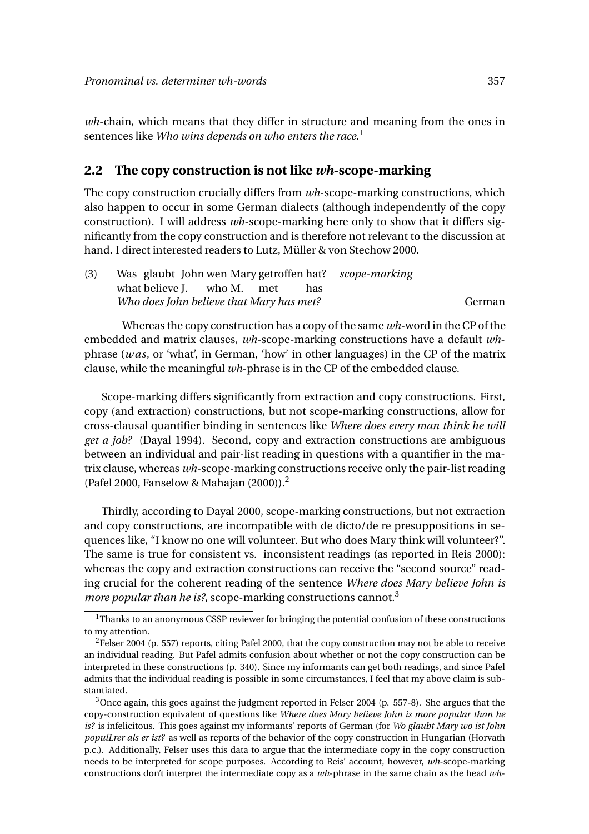*wh*-chain, which means that they differ in structure and meaning from the ones in sentences like *Who wins depends on who enters the race*. 1

#### **2.2 The copy construction is not like** *wh***-scope-marking**

The copy construction crucially differs from *wh*-scope-marking constructions, which also happen to occur in some German dialects (although independently of the copy construction). I will address *wh*-scope-marking here only to show that it differs significantly from the copy construction and is therefore not relevant to the discussion at hand. I direct interested readers to Lutz, Müller & von Stechow 2000.

| (3) | Was glaubt John wen Mary getroffen hat? <i>scope-marking</i> |     |        |
|-----|--------------------------------------------------------------|-----|--------|
|     | what believe J. who M. met                                   | has |        |
|     | Who does John believe that Mary has met?                     |     | German |

Whereas the copy construction has a copy of the same *wh*-word in the CP of the embedded and matrix clauses, *wh*-scope-marking constructions have a default *wh*phrase (*w as*, or 'what', in German, 'how' in other languages) in the CP of the matrix clause, while the meaningful *wh*-phrase is in the CP of the embedded clause.

Scope-marking differs significantly from extraction and copy constructions. First, copy (and extraction) constructions, but not scope-marking constructions, allow for cross-clausal quantifier binding in sentences like *Where does every man think he will get a job?* (Dayal 1994). Second, copy and extraction constructions are ambiguous between an individual and pair-list reading in questions with a quantifier in the matrix clause, whereas *wh*-scope-marking constructions receive only the pair-list reading (Pafel 2000, Fanselow & Mahajan (2000)).<sup>2</sup>

Thirdly, according to Dayal 2000, scope-marking constructions, but not extraction and copy constructions, are incompatible with de dicto/de re presuppositions in sequences like, "I know no one will volunteer. But who does Mary think will volunteer?". The same is true for consistent vs. inconsistent readings (as reported in Reis 2000): whereas the copy and extraction constructions can receive the "second source" reading crucial for the coherent reading of the sentence *Where does Mary believe John is more popular than he is?*, scope-marking constructions cannot.<sup>3</sup>

 $3$ Once again, this goes against the judgment reported in Felser 2004 (p. 557-8). She argues that the copy-construction equivalent of questions like *Where does Mary believe John is more popular than he is?* is infelicitous. This goes against my informants' reports of German (for *Wo glaubt Mary wo ist John populŁrer als er ist?* as well as reports of the behavior of the copy construction in Hungarian (Horvath p.c.). Additionally, Felser uses this data to argue that the intermediate copy in the copy construction needs to be interpreted for scope purposes. According to Reis' account, however, *wh*-scope-marking constructions don't interpret the intermediate copy as a *wh*-phrase in the same chain as the head *wh*-

 $1$ Thanks to an anonymous CSSP reviewer for bringing the potential confusion of these constructions to my attention.

<sup>&</sup>lt;sup>2</sup>Felser 2004 (p. 557) reports, citing Pafel 2000, that the copy construction may not be able to receive an individual reading. But Pafel admits confusion about whether or not the copy construction can be interpreted in these constructions (p. 340). Since my informants can get both readings, and since Pafel admits that the individual reading is possible in some circumstances, I feel that my above claim is substantiated.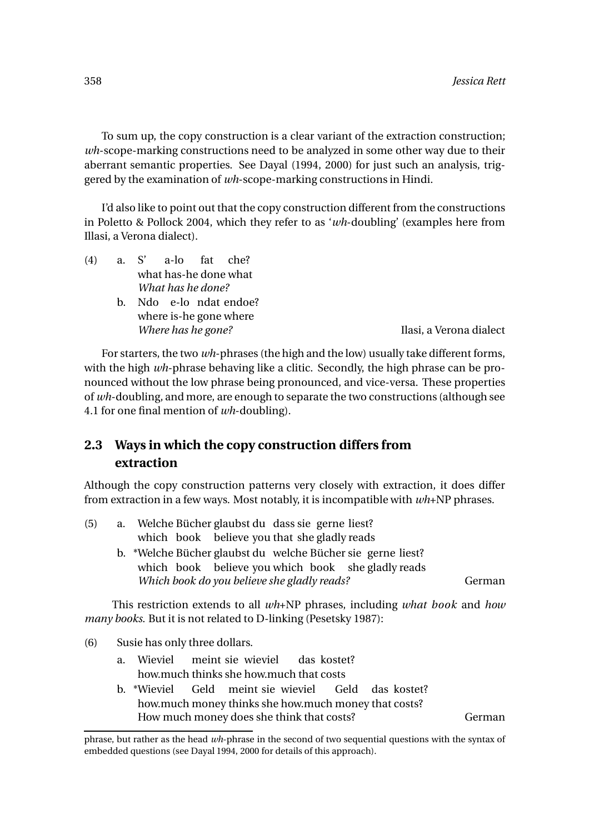To sum up, the copy construction is a clear variant of the extraction construction; *wh*-scope-marking constructions need to be analyzed in some other way due to their aberrant semantic properties. See Dayal (1994, 2000) for just such an analysis, triggered by the examination of *wh*-scope-marking constructions in Hindi.

I'd also like to point out that the copy construction different from the constructions in Poletto & Pollock 2004, which they refer to as '*wh*-doubling' (examples here from Illasi, a Verona dialect).

- $(4)$  a. S' what has-he done what a-lo fat che? *What has he done?*
	- b. Ndo e-lo ndat endoe? where is-he gone where *Where has he gone?* Ilasi, a Verona dialect

For starters, the two *wh*-phrases (the high and the low) usually take different forms, with the high *wh*-phrase behaving like a clitic. Secondly, the high phrase can be pronounced without the low phrase being pronounced, and vice-versa. These properties of *wh*-doubling, and more, are enough to separate the two constructions (although see 4.1 for one final mention of *wh*-doubling).

## **2.3 Ways in which the copy construction differs from extraction**

Although the copy construction patterns very closely with extraction, it does differ from extraction in a few ways. Most notably, it is incompatible with *wh*+NP phrases.

| (5) | a. | Welche Bücher glaubst du dass sie gerne liest?                                |        |
|-----|----|-------------------------------------------------------------------------------|--------|
|     |    | which book believe you that she gladly reads                                  |        |
|     |    | b. *Welche Bücher glaubst du welche Bücher sie gerne liest?                   |        |
|     |    | which book believe you which book she gladly reads                            |        |
|     |    | Which book do you believe she gladly reads?                                   | German |
|     |    | This restriction extends to all $wh$ -NP phrases, including what book and how |        |
|     |    | <i>many books.</i> But it is not related to D-linking (Pesetsky 1987):        |        |

- (6) Susie has only three dollars.
	- a. Wieviel how.much thinks she how.much that costs meint sie wieviel das kostet?
	- b. \*Wieviel how.much money thinks she how.much money that costs? Geld meint sie wieviel Geld das kostet? How much money does she think that costs? German

phrase, but rather as the head *wh*-phrase in the second of two sequential questions with the syntax of embedded questions (see Dayal 1994, 2000 for details of this approach).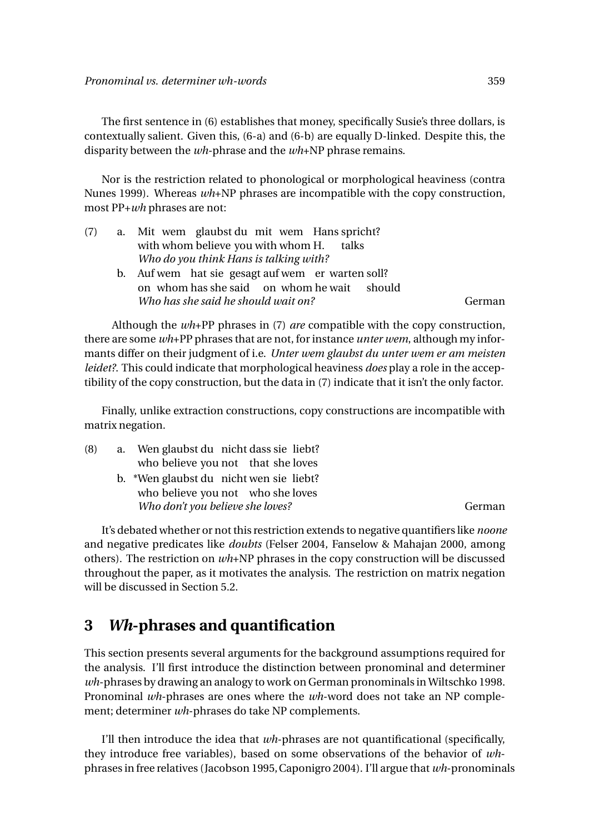The first sentence in (6) establishes that money, specifically Susie's three dollars, is contextually salient. Given this, (6-a) and (6-b) are equally D-linked. Despite this, the disparity between the *wh*-phrase and the *wh*+NP phrase remains.

Nor is the restriction related to phonological or morphological heaviness (contra Nunes 1999). Whereas *wh*+NP phrases are incompatible with the copy construction, most PP+*wh* phrases are not:

| (7) | a. Mit wem glaubst du mit wem Hans spricht?       |        |
|-----|---------------------------------------------------|--------|
|     | with whom believe you with whom H. talks          |        |
|     | Who do you think Hans is talking with?            |        |
|     | b. Auf wem hat sie gesagt auf wem er warten soll? |        |
|     | on whom has she said on whom he wait should       |        |
|     | Who has she said he should wait on?               | German |

Although the *wh*+PP phrases in (7) *are* compatible with the copy construction, there are some *wh*+PP phrases that are not, for instance *unter wem*, although my informants differ on their judgment of i.e. *Unter wem glaubst du unter wem er am meisten leidet?*. This could indicate that morphological heaviness *does* play a role in the acceptibility of the copy construction, but the data in (7) indicate that it isn't the only factor.

Finally, unlike extraction constructions, copy constructions are incompatible with matrix negation.

| (8) | a. Wen glaubst du nicht dass sie liebt? |        |
|-----|-----------------------------------------|--------|
|     | who believe you not that she loves      |        |
|     | b. *Wen glaubst du nicht wen sie liebt? |        |
|     | who believe you not who she loves       |        |
|     | Who don't you believe she loves?        | German |

It's debated whether or not this restriction extends to negative quantifiers like *noone* and negative predicates like *doubts* (Felser 2004, Fanselow & Mahajan 2000, among others). The restriction on *wh*+NP phrases in the copy construction will be discussed throughout the paper, as it motivates the analysis. The restriction on matrix negation will be discussed in Section 5.2.

# **3** *Wh***-phrases and quantification**

This section presents several arguments for the background assumptions required for the analysis. I'll first introduce the distinction between pronominal and determiner *wh*-phrases by drawing an analogy to work on German pronominals in Wiltschko 1998. Pronominal *wh*-phrases are ones where the *wh*-word does not take an NP complement; determiner *wh*-phrases do take NP complements.

I'll then introduce the idea that *wh*-phrases are not quantificational (specifically, they introduce free variables), based on some observations of the behavior of *wh*phrases in free relatives (Jacobson 1995,Caponigro 2004). I'll argue that *wh*-pronominals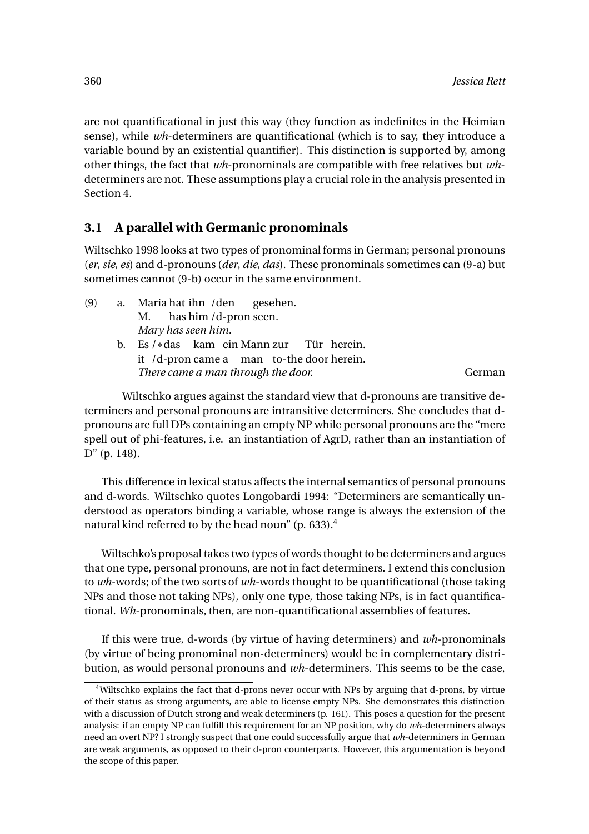are not quantificational in just this way (they function as indefinites in the Heimian sense), while *wh*-determiners are quantificational (which is to say, they introduce a variable bound by an existential quantifier). This distinction is supported by, among other things, the fact that *wh*-pronominals are compatible with free relatives but *wh*determiners are not. These assumptions play a crucial role in the analysis presented in Section 4.

## **3.1 A parallel with Germanic pronominals**

Wiltschko 1998 looks at two types of pronominal forms in German; personal pronouns (*er*, *sie*, *es*) and d-pronouns (*der*, *die*, *das*). These pronominals sometimes can (9-a) but sometimes cannot (9-b) occur in the same environment.

| (9) | a. Maria hat ihn / den gesehen.            |        |
|-----|--------------------------------------------|--------|
|     | M. has him /d-pron seen.                   |        |
|     | Mary has seen him.                         |        |
|     | b. Es / * das kam ein Mann zur Tür herein. |        |
|     | it /d-pron came a man to-the door herein.  |        |
|     | There came a man through the door.         | German |

Wiltschko argues against the standard view that d-pronouns are transitive determiners and personal pronouns are intransitive determiners. She concludes that dpronouns are full DPs containing an empty NP while personal pronouns are the "mere spell out of phi-features, i.e. an instantiation of AgrD, rather than an instantiation of D" (p. 148).

This difference in lexical status affects the internal semantics of personal pronouns and d-words. Wiltschko quotes Longobardi 1994: "Determiners are semantically understood as operators binding a variable, whose range is always the extension of the natural kind referred to by the head noun" (p. 633).<sup>4</sup>

Wiltschko's proposal takes two types of words thought to be determiners and argues that one type, personal pronouns, are not in fact determiners. I extend this conclusion to *wh*-words; of the two sorts of *wh*-words thought to be quantificational (those taking NPs and those not taking NPs), only one type, those taking NPs, is in fact quantificational. *Wh*-pronominals, then, are non-quantificational assemblies of features.

If this were true, d-words (by virtue of having determiners) and *wh*-pronominals (by virtue of being pronominal non-determiners) would be in complementary distribution, as would personal pronouns and *wh*-determiners. This seems to be the case,

<sup>4</sup>Wiltschko explains the fact that d-prons never occur with NPs by arguing that d-prons, by virtue of their status as strong arguments, are able to license empty NPs. She demonstrates this distinction with a discussion of Dutch strong and weak determiners (p. 161). This poses a question for the present analysis: if an empty NP can fulfill this requirement for an NP position, why do *wh*-determiners always need an overt NP? I strongly suspect that one could successfully argue that *wh*-determiners in German are weak arguments, as opposed to their d-pron counterparts. However, this argumentation is beyond the scope of this paper.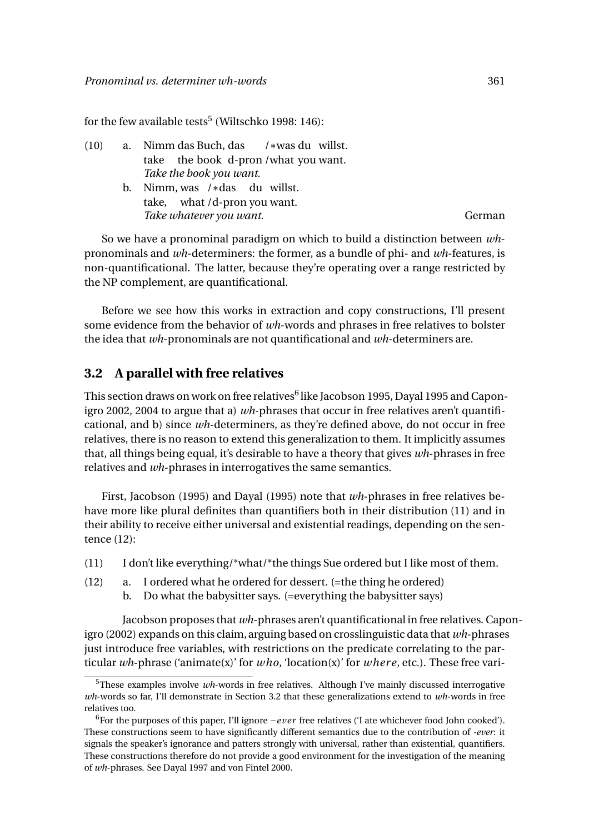for the few available tests $^5$  (Wiltschko 1998: 146):

| (10) | a. Nimm das Buch, das /*was du willst. |        |
|------|----------------------------------------|--------|
|      | take the book d-pron/what you want.    |        |
|      | Take the book you want.                |        |
|      | b. Nimm, was $/*$ das du willst.       |        |
|      | take, what /d-pron you want.           |        |
|      | Take whatever you want.                | German |

So we have a pronominal paradigm on which to build a distinction between *wh*pronominals and *wh*-determiners: the former, as a bundle of phi- and *wh*-features, is non-quantificational. The latter, because they're operating over a range restricted by the NP complement, are quantificational.

Before we see how this works in extraction and copy constructions, I'll present some evidence from the behavior of *wh*-words and phrases in free relatives to bolster the idea that *wh*-pronominals are not quantificational and *wh*-determiners are.

#### **3.2 A parallel with free relatives**

This section draws on work on free relatives $^6$  like Jacobson 1995, Dayal 1995 and Caponigro 2002, 2004 to argue that a) *wh*-phrases that occur in free relatives aren't quantificational, and b) since *wh*-determiners, as they're defined above, do not occur in free relatives, there is no reason to extend this generalization to them. It implicitly assumes that, all things being equal, it's desirable to have a theory that gives *wh*-phrases in free relatives and *wh*-phrases in interrogatives the same semantics.

First, Jacobson (1995) and Dayal (1995) note that *wh*-phrases in free relatives behave more like plural definites than quantifiers both in their distribution (11) and in their ability to receive either universal and existential readings, depending on the sentence (12):

- (11) I don't like everything/\*what/\*the things Sue ordered but I like most of them.
- (12) a. I ordered what he ordered for dessert. (=the thing he ordered)
	- b. Do what the babysitter says. (=everything the babysitter says)

Jacobson proposes that *wh*-phrases aren't quantificational in free relatives. Caponigro (2002) expands on this claim, arguing based on crosslinguistic data that *wh*-phrases just introduce free variables, with restrictions on the predicate correlating to the particular *wh*-phrase ('animate(x)' for *who*, 'location(x)' for *wher e*, etc.). These free vari-

<sup>5</sup>These examples involve *wh*-words in free relatives. Although I've mainly discussed interrogative *wh*-words so far, I'll demonstrate in Section 3.2 that these generalizations extend to *wh*-words in free relatives too.

<sup>6</sup>For the purposes of this paper, I'll ignore −*ever* free relatives ('I ate whichever food John cooked'). These constructions seem to have significantly different semantics due to the contribution of *-ever*: it signals the speaker's ignorance and patters strongly with universal, rather than existential, quantifiers. These constructions therefore do not provide a good environment for the investigation of the meaning of *wh*-phrases. See Dayal 1997 and von Fintel 2000.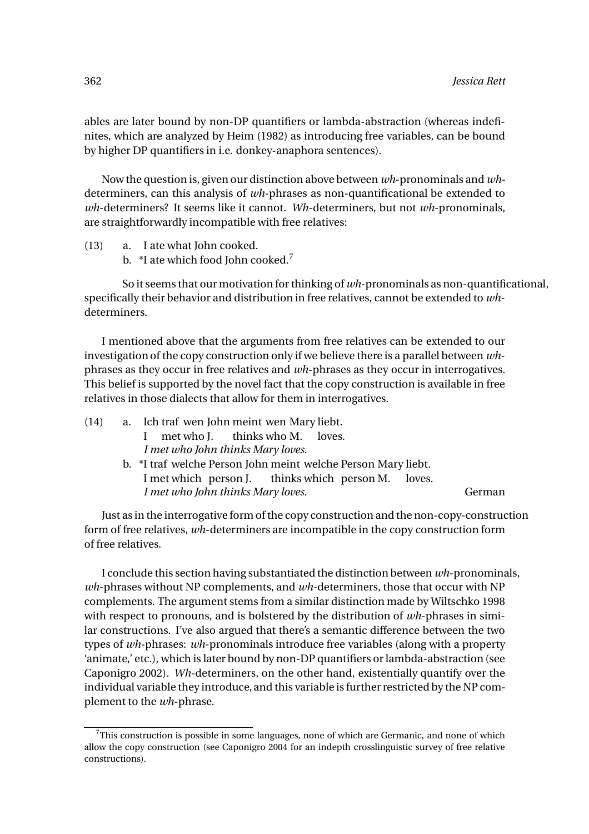ables are later bound by non-DP quantifiers or lambda-abstraction (whereas indefinites, which are analyzed by Heim (1982) as introducing free variables, can be bound by higher DP quantifiers in i.e. donkey-anaphora sentences).

Now the question is, given our distinction above between *wh*-pronominals and *wh*determiners, can this analysis of *wh*-phrases as non-quantificational be extended to *wh*-determiners? It seems like it cannot. *Wh*-determiners, but not *wh*-pronominals, are straightforwardly incompatible with free relatives:

- (13) a. I ate what John cooked.
	- b. \*I ate which food John cooked.<sup>7</sup>

So it seems that our motivation for thinking of *wh*-pronominals as non-quantificational, specifically their behavior and distribution in free relatives, cannot be extended to *wh*determiners.

I mentioned above that the arguments from free relatives can be extended to our investigation of the copy construction only if we believe there is a parallel between *wh*phrases as they occur in free relatives and *wh*-phrases as they occur in interrogatives. This belief is supported by the novel fact that the copy construction is available in free relatives in those dialects that allow for them in interrogatives.

| (14) |                                   | a. Ich traf wen John meint wen Mary liebt.                    |  |  |  |  |  |
|------|-----------------------------------|---------------------------------------------------------------|--|--|--|--|--|
|      |                                   | met who J. thinks who M. loves.<br>$\mathbf{L}$               |  |  |  |  |  |
|      | I met who John thinks Mary loves. |                                                               |  |  |  |  |  |
|      |                                   | b. *I traf welche Person John meint welche Person Mary liebt. |  |  |  |  |  |
|      |                                   | I met which person J. thinks which person M. loves.           |  |  |  |  |  |
|      |                                   | German                                                        |  |  |  |  |  |

Just as in the interrogative form of the copy construction and the non-copy-construction form of free relatives, *wh*-determiners are incompatible in the copy construction form of free relatives.

I conclude this section having substantiated the distinction between *wh*-pronominals, *wh*-phrases without NP complements, and *wh*-determiners, those that occur with NP complements. The argument stems from a similar distinction made by Wiltschko 1998 with respect to pronouns, and is bolstered by the distribution of *wh*-phrases in similar constructions. I've also argued that there's a semantic difference between the two types of *wh*-phrases: *wh*-pronominals introduce free variables (along with a property 'animate,' etc.), which is later bound by non-DP quantifiers or lambda-abstraction (see Caponigro 2002). *Wh*-determiners, on the other hand, existentially quantify over the individual variable they introduce, and this variable is further restricted by the NP complement to the *wh*-phrase.

 $7$ This construction is possible in some languages, none of which are Germanic, and none of which allow the copy construction (see Caponigro 2004 for an indepth crosslinguistic survey of free relative constructions).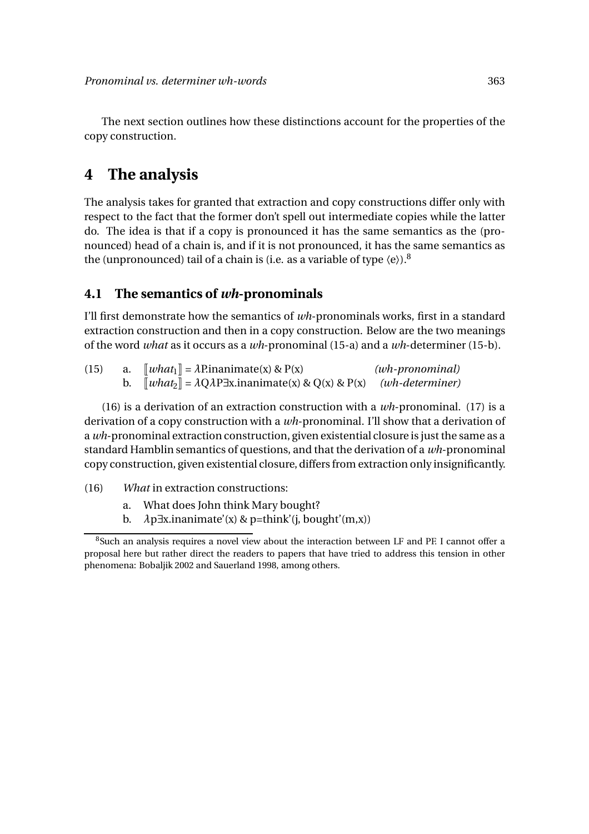The next section outlines how these distinctions account for the properties of the copy construction.

# **4 The analysis**

The analysis takes for granted that extraction and copy constructions differ only with respect to the fact that the former don't spell out intermediate copies while the latter do. The idea is that if a copy is pronounced it has the same semantics as the (pronounced) head of a chain is, and if it is not pronounced, it has the same semantics as the (unpronounced) tail of a chain is (i.e. as a variable of type  $\langle e \rangle$ ).<sup>8</sup>

#### **4.1 The semantics of** *wh***-pronominals**

I'll first demonstrate how the semantics of *wh*-pronominals works, first in a standard extraction construction and then in a copy construction. Below are the two meanings of the word *what* as it occurs as a *wh*-pronominal (15-a) and a *wh*-determiner (15-b).

| (15) | a. $\lbrack \lbrack \text{what}_1 \rbrack \rbrack = \lambda$ P.inanimate(x) & P(x)                 | $(wh\text{-}pronomial)$ |
|------|----------------------------------------------------------------------------------------------------|-------------------------|
|      | b. $\Vert what_2 \Vert = \lambda Q\lambda P\exists x.inanimate(x) \& Q(x) \& P(x)$ (wh-determiner) |                         |

(16) is a derivation of an extraction construction with a *wh*-pronominal. (17) is a derivation of a copy construction with a *wh*-pronominal. I'll show that a derivation of a *wh*-pronominal extraction construction, given existential closure is just the same as a standard Hamblin semantics of questions, and that the derivation of a *wh*-pronominal copy construction, given existential closure, differs from extraction only insignificantly.

- (16) *What* in extraction constructions:
	- a. What does John think Mary bought?
	- b. *λ*p∃x.inanimate'(x) & p=think'(j, bought'(m,x))

<sup>&</sup>lt;sup>8</sup>Such an analysis requires a novel view about the interaction between LF and PF. I cannot offer a proposal here but rather direct the readers to papers that have tried to address this tension in other phenomena: Bobaljik 2002 and Sauerland 1998, among others.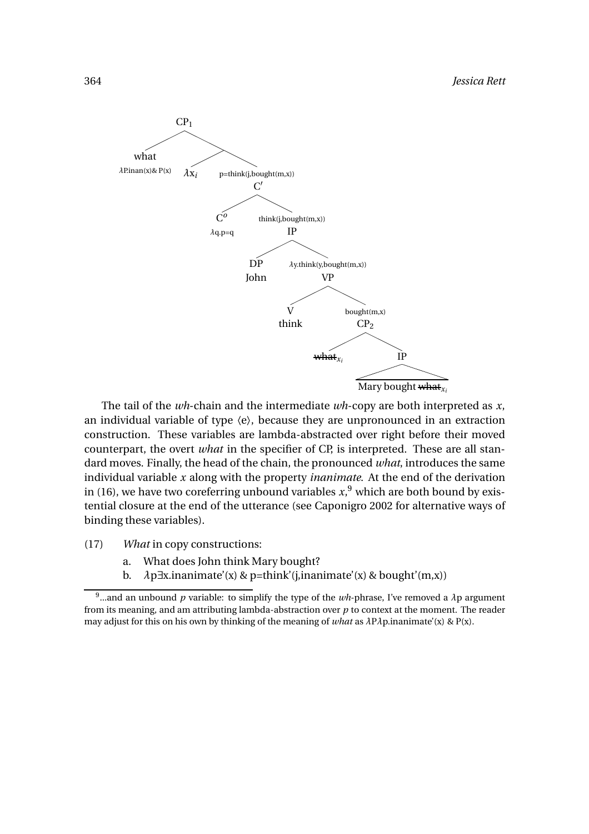

The tail of the *wh*-chain and the intermediate *wh*-copy are both interpreted as *x*, an individual variable of type  $\langle e \rangle$ , because they are unpronounced in an extraction construction. These variables are lambda-abstracted over right before their moved counterpart, the overt *what* in the specifier of CP, is interpreted. These are all standard moves. Finally, the head of the chain, the pronounced *what*, introduces the same individual variable *x* along with the property *inanimate*. At the end of the derivation in (16), we have two coreferring unbound variables  $x$ ,  $9$  which are both bound by existential closure at the end of the utterance (see Caponigro 2002 for alternative ways of binding these variables).

- (17) *What* in copy constructions:
	- a. What does John think Mary bought?
	- b. *λ*p∃x.inanimate'(x) & p=think'(j,inanimate'(x) & bought'(m,x))

<sup>&</sup>lt;sup>9</sup>...and an unbound  $p$  variable: to simplify the type of the  $wh$ -phrase, I've removed a  $\lambda$ p argument from its meaning, and am attributing lambda-abstraction over *p* to context at the moment. The reader may adjust for this on his own by thinking of the meaning of *what* as *λ*P*λ*p.inanimate'(x) & P(x).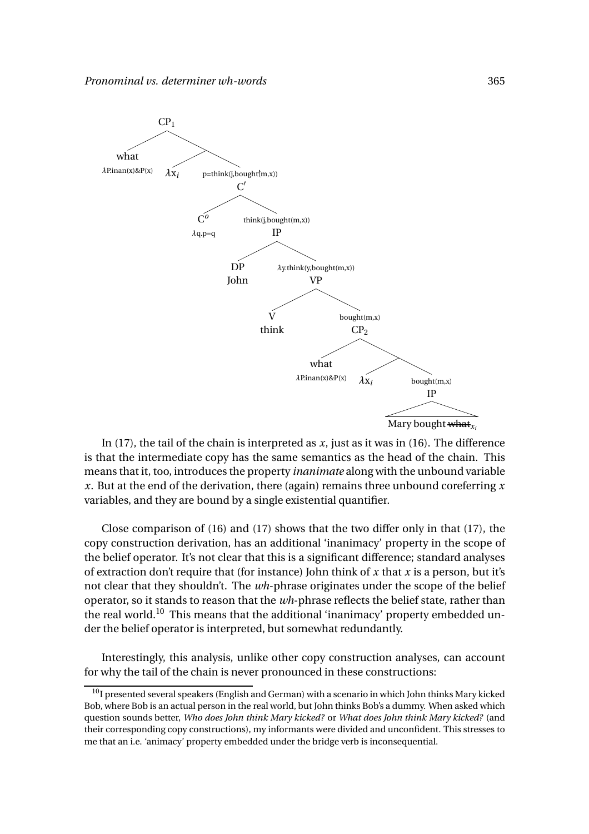

In (17), the tail of the chain is interpreted as  $x$ , just as it was in (16). The difference is that the intermediate copy has the same semantics as the head of the chain. This means that it, too, introduces the property *inanimate* along with the unbound variable *x*. But at the end of the derivation, there (again) remains three unbound coreferring *x* variables, and they are bound by a single existential quantifier.

Close comparison of  $(16)$  and  $(17)$  shows that the two differ only in that  $(17)$ , the copy construction derivation, has an additional 'inanimacy' property in the scope of the belief operator. It's not clear that this is a significant difference; standard analyses of extraction don't require that (for instance) John think of *x* that *x* is a person, but it's not clear that they shouldn't. The *wh*-phrase originates under the scope of the belief operator, so it stands to reason that the *wh*-phrase reflects the belief state, rather than the real world.<sup>10</sup> This means that the additional 'inanimacy' property embedded under the belief operator is interpreted, but somewhat redundantly.

Interestingly, this analysis, unlike other copy construction analyses, can account for why the tail of the chain is never pronounced in these constructions:

 $10$ I presented several speakers (English and German) with a scenario in which John thinks Mary kicked Bob, where Bob is an actual person in the real world, but John thinks Bob's a dummy. When asked which question sounds better, *Who does John think Mary kicked?* or *What does John think Mary kicked?* (and their corresponding copy constructions), my informants were divided and unconfident. This stresses to me that an i.e. 'animacy' property embedded under the bridge verb is inconsequential.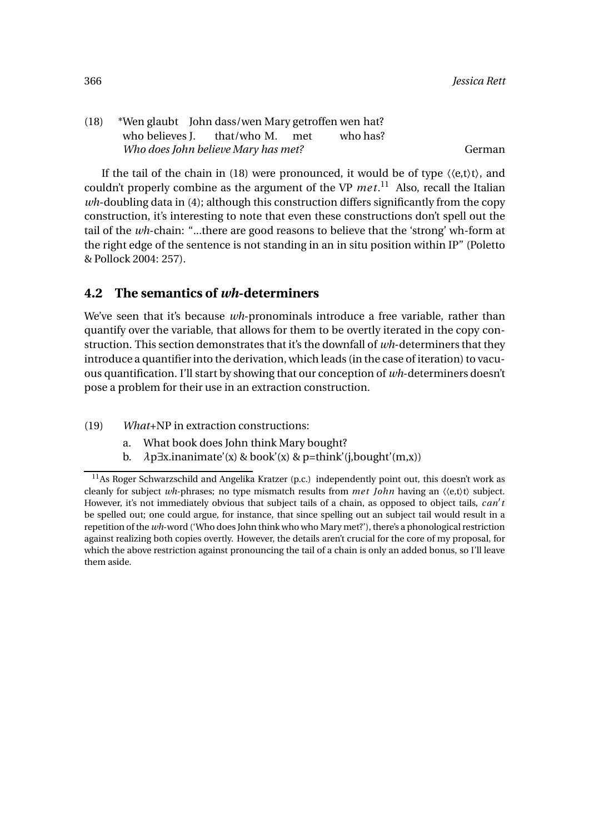(18) \*Wen glaubt John dass/wen Mary getroffen wen hat? who believes J. that/who M. met who has? *Who does John believe Mary has met?* German German

If the tail of the chain in (18) were pronounced, it would be of type  $\langle\langle e,t\rangle t\rangle$ , and couldn't properly combine as the argument of the VP  $met$ <sup>11</sup> Also, recall the Italian *wh*-doubling data in (4); although this construction differs significantly from the copy construction, it's interesting to note that even these constructions don't spell out the tail of the *wh*-chain: "...there are good reasons to believe that the 'strong' wh-form at the right edge of the sentence is not standing in an in situ position within IP" (Poletto & Pollock 2004: 257).

## **4.2 The semantics of** *wh***-determiners**

We've seen that it's because *wh*-pronominals introduce a free variable, rather than quantify over the variable, that allows for them to be overtly iterated in the copy construction. This section demonstrates that it's the downfall of *wh*-determiners that they introduce a quantifier into the derivation, which leads (in the case of iteration) to vacuous quantification. I'll start by showing that our conception of *wh*-determiners doesn't pose a problem for their use in an extraction construction.

- (19) *What*+NP in extraction constructions:
	- a. What book does John think Mary bought?
	- b. *λ*p∃x.inanimate'(x) & book'(x) & p=think'(j,bought'(m,x))

<sup>&</sup>lt;sup>11</sup>As Roger Schwarzschild and Angelika Kratzer (p.c.) independently point out, this doesn't work as cleanly for subject *wh*-phrases; no type mismatch results from *me t John* having an 〈〈e,t〉t〉 subject. However, it's not immediately obvious that subject tails of a chain, as opposed to object tails, *can*′ *t* be spelled out; one could argue, for instance, that since spelling out an subject tail would result in a repetition of the *wh*-word ('Who does John think who who Mary met?'), there's a phonological restriction against realizing both copies overtly. However, the details aren't crucial for the core of my proposal, for which the above restriction against pronouncing the tail of a chain is only an added bonus, so I'll leave them aside.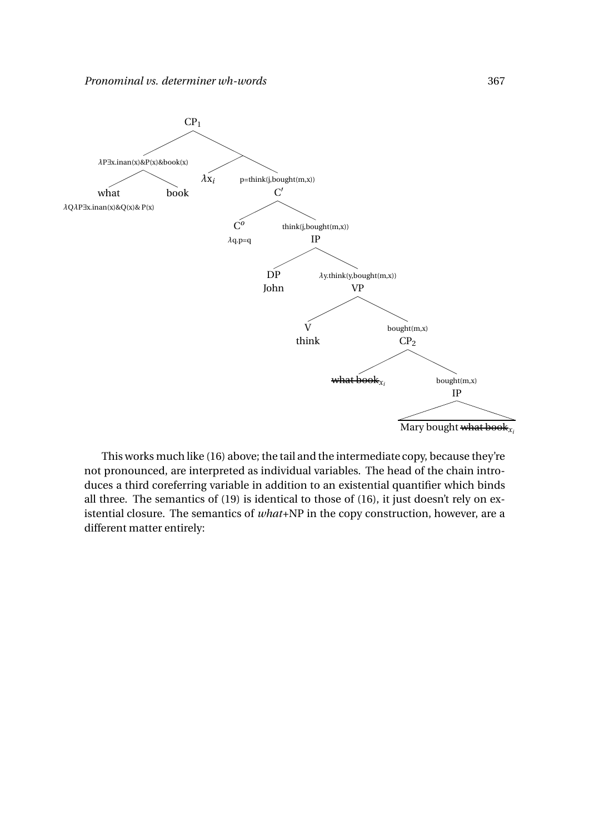

Mary bought what book*x<sup>i</sup>*

This works much like (16) above; the tail and the intermediate copy, because they're not pronounced, are interpreted as individual variables. The head of the chain introduces a third coreferring variable in addition to an existential quantifier which binds all three. The semantics of (19) is identical to those of (16), it just doesn't rely on existential closure. The semantics of *what*+NP in the copy construction, however, are a different matter entirely: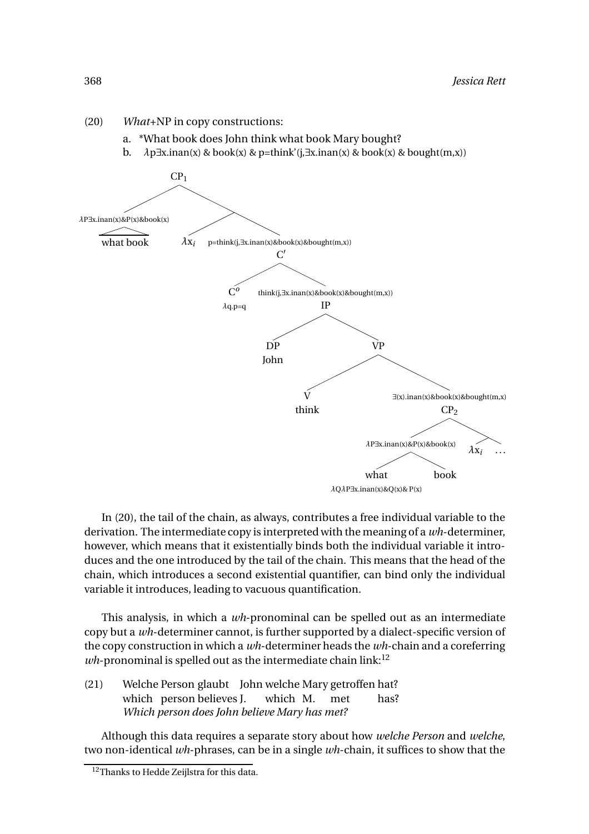- (20) *What*+NP in copy constructions:
	- a. \*What book does John think what book Mary bought?
	- b.  $\lambda p \exists x \cdot \text{inan}(x)$  & book(x) & p=think'( $i, \exists x \cdot \text{inan}(x)$  & book(x) & bought(m,x))



In (20), the tail of the chain, as always, contributes a free individual variable to the derivation. The intermediate copy is interpreted with the meaning of a *wh*-determiner, however, which means that it existentially binds both the individual variable it introduces and the one introduced by the tail of the chain. This means that the head of the chain, which introduces a second existential quantifier, can bind only the individual variable it introduces, leading to vacuous quantification.

This analysis, in which a *wh*-pronominal can be spelled out as an intermediate copy but a *wh*-determiner cannot, is further supported by a dialect-specific version of the copy construction in which a *wh*-determiner heads the *wh*-chain and a coreferring  $wh$ -pronominal is spelled out as the intermediate chain link:<sup>12</sup>

(21) Welche Person glaubt John welche Mary getroffen hat? which person believes J. which M. met has? *Which person does John believe Mary has met?*

Although this data requires a separate story about how *welche Person* and *welche*, two non-identical *wh*-phrases, can be in a single *wh*-chain, it suffices to show that the

<sup>&</sup>lt;sup>12</sup>Thanks to Hedde Zeijlstra for this data.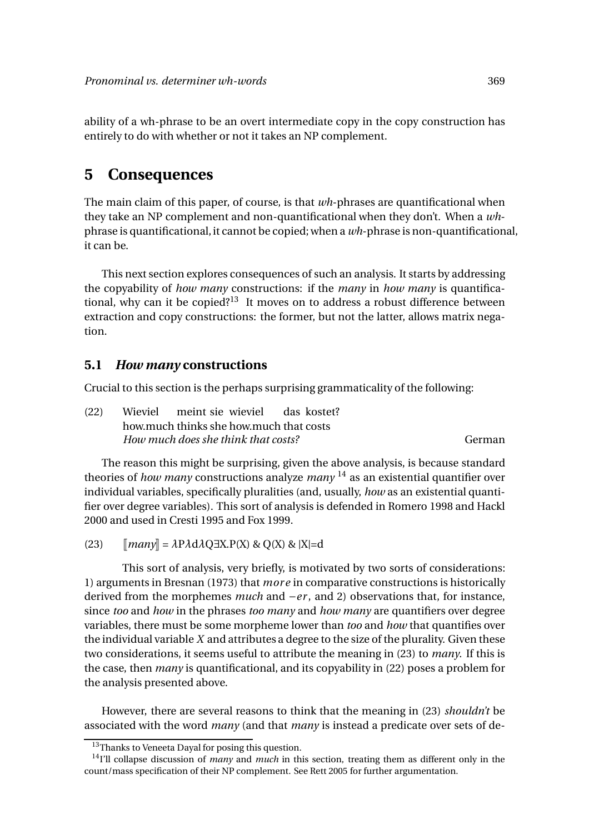ability of a wh-phrase to be an overt intermediate copy in the copy construction has entirely to do with whether or not it takes an NP complement.

## **5 Consequences**

The main claim of this paper, of course, is that *wh*-phrases are quantificational when they take an NP complement and non-quantificational when they don't. When a *wh*phrase is quantificational, it cannot be copied; when a *wh*-phrase is non-quantificational, it can be.

This next section explores consequences of such an analysis. It starts by addressing the copyability of *how many* constructions: if the *many* in *how many* is quantificational, why can it be copied?<sup>13</sup> It moves on to address a robust difference between extraction and copy constructions: the former, but not the latter, allows matrix negation.

#### **5.1** *How many* **constructions**

Crucial to this section is the perhaps surprising grammaticality of the following:

| (22) | Wieviel meint sie wieviel das kostet?   |        |
|------|-----------------------------------------|--------|
|      | how much thinks she how much that costs |        |
|      | How much does she think that costs?     | German |

The reason this might be surprising, given the above analysis, is because standard theories of *how many* constructions analyze *many* <sup>14</sup> as an existential quantifier over individual variables, specifically pluralities (and, usually, *how* as an existential quantifier over degree variables). This sort of analysis is defended in Romero 1998 and Hackl 2000 and used in Cresti 1995 and Fox 1999.

(23)  $\|\textit{many}\| = \lambda \text{P} \lambda \text{d} \lambda \text{Q} \exists \text{X}.\text{P}(\text{X}) \& \text{Q}(\text{X}) \& \text{X} = \text{d}$ 

This sort of analysis, very briefly, is motivated by two sorts of considerations: 1) arguments in Bresnan (1973) that *mor e* in comparative constructions is historically derived from the morphemes *much* and −*er* , and 2) observations that, for instance, since *too* and *how* in the phrases *too many* and *how many* are quantifiers over degree variables, there must be some morpheme lower than *too* and *how* that quantifies over the individual variable *X* and attributes a degree to the size of the plurality. Given these two considerations, it seems useful to attribute the meaning in (23) to *many*. If this is the case, then *many* is quantificational, and its copyability in (22) poses a problem for the analysis presented above.

However, there are several reasons to think that the meaning in (23) *shouldn't* be associated with the word *many* (and that *many* is instead a predicate over sets of de-

<sup>&</sup>lt;sup>13</sup>Thanks to Veneeta Dayal for posing this question.

<sup>14</sup>I'll collapse discussion of *many* and *much* in this section, treating them as different only in the count/mass specification of their NP complement. See Rett 2005 for further argumentation.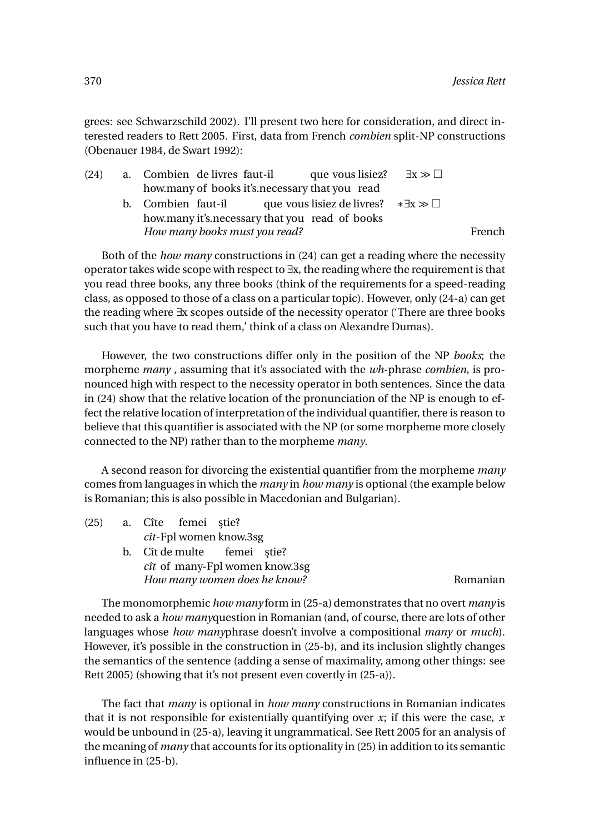grees: see Schwarzschild 2002). I'll present two here for consideration, and direct interested readers to Rett 2005. First, data from French *combien* split-NP constructions (Obenauer 1984, de Swart 1992):

| (24) | a. Combien de livres faut-il  | que vous lisiez?                                                    | $\exists x \gg \Box$ |        |
|------|-------------------------------|---------------------------------------------------------------------|----------------------|--------|
|      |                               | how many of books it's necessary that you read                      |                      |        |
|      |                               | b. Combien faut-il que vous lisiez de livres? $*\exists x \gg \Box$ |                      |        |
|      |                               | how many it's necessary that you read of books                      |                      |        |
|      | How many books must you read? |                                                                     |                      | French |

Both of the *how many* constructions in (24) can get a reading where the necessity operator takes wide scope with respect to ∃x, the reading where the requirement is that you read three books, any three books (think of the requirements for a speed-reading class, as opposed to those of a class on a particular topic). However, only (24-a) can get the reading where ∃x scopes outside of the necessity operator ('There are three books such that you have to read them,' think of a class on Alexandre Dumas).

However, the two constructions differ only in the position of the NP *books*; the morpheme *many* , assuming that it's associated with the *wh*-phrase *combien*, is pronounced high with respect to the necessity operator in both sentences. Since the data in (24) show that the relative location of the pronunciation of the NP is enough to effect the relative location of interpretation of the individual quantifier, there is reason to believe that this quantifier is associated with the NP (or some morpheme more closely connected to the NP) rather than to the morpheme *many*.

A second reason for divorcing the existential quantifier from the morpheme *many* comes from languages in which the *many* in *how many* is optional (the example below is Romanian; this is also possible in Macedonian and Bulgarian).

| (25) | a. Cîte femei știe?                   |          |
|------|---------------------------------------|----------|
|      | $\hat{cut}$ -Fpl women know.3sg       |          |
|      | b. Cît de multe femei stie?           |          |
|      | <i>cît</i> of many-Fpl women know.3sg |          |
|      | How many women does he know?          | Romanian |
|      |                                       |          |

The monomorphemic *how many* form in (25-a) demonstrates that no overt *many* is needed to ask a *how many*question in Romanian (and, of course, there are lots of other languages whose *how many*phrase doesn't involve a compositional *many* or *much*). However, it's possible in the construction in (25-b), and its inclusion slightly changes the semantics of the sentence (adding a sense of maximality, among other things: see Rett 2005) (showing that it's not present even covertly in (25-a)).

The fact that *many* is optional in *how many* constructions in Romanian indicates that it is not responsible for existentially quantifying over *x*; if this were the case, *x* would be unbound in (25-a), leaving it ungrammatical. See Rett 2005 for an analysis of the meaning of *many* that accounts for its optionality in (25) in addition to its semantic influence in (25-b).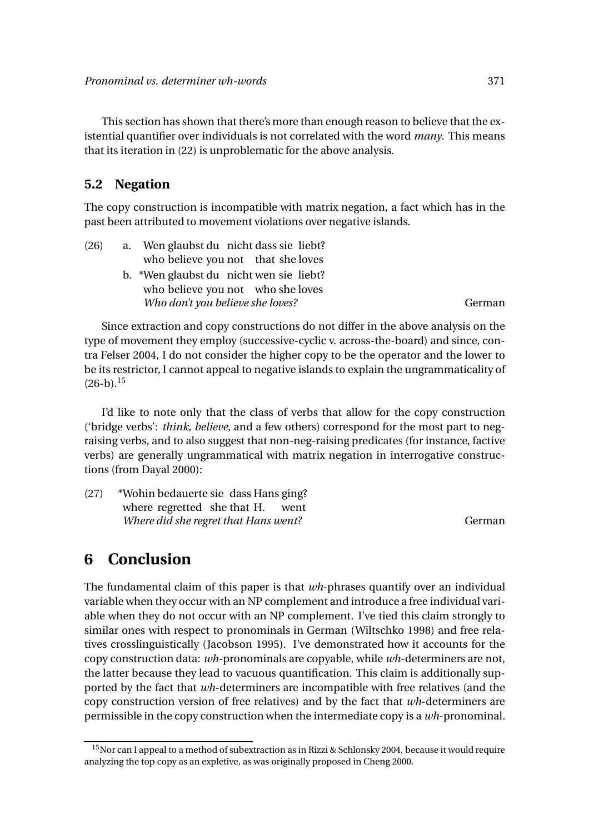This section has shown that there's more than enough reason to believe that the existential quantifier over individuals is not correlated with the word *many*. This means that its iteration in (22) is unproblematic for the above analysis.

#### **5.2 Negation**

The copy construction is incompatible with matrix negation, a fact which has in the past been attributed to movement violations over negative islands.

| (26) | a. Wen glaubst du nicht dass sie liebt? |        |
|------|-----------------------------------------|--------|
|      | who believe you not that she loves      |        |
|      | b. *Wen glaubst du nicht wen sie liebt? |        |
|      | who believe you not who she loves       |        |
|      | Who don't you believe she loves?        | German |
|      |                                         |        |

Since extraction and copy constructions do not differ in the above analysis on the type of movement they employ (successive-cyclic v. across-the-board) and since, contra Felser 2004, I do not consider the higher copy to be the operator and the lower to be its restrictor, I cannot appeal to negative islands to explain the ungrammaticality of  $(26-b).$ <sup>15</sup>

I'd like to note only that the class of verbs that allow for the copy construction ('bridge verbs': *think*, *believe*, and a few others) correspond for the most part to negraising verbs, and to also suggest that non-neg-raising predicates (for instance, factive verbs) are generally ungrammatical with matrix negation in interrogative constructions (from Dayal 2000):

(27) \*Wohin bedauerte sie dass Hans ging? where regretted she that H. went *Where did she regret that Hans went?* German

## **6 Conclusion**

The fundamental claim of this paper is that *wh*-phrases quantify over an individual variable when they occur with an NP complement and introduce a free individual variable when they do not occur with an NP complement. I've tied this claim strongly to similar ones with respect to pronominals in German (Wiltschko 1998) and free relatives crosslinguistically (Jacobson 1995). I've demonstrated how it accounts for the copy construction data: *wh*-pronominals are copyable, while *wh*-determiners are not, the latter because they lead to vacuous quantification. This claim is additionally supported by the fact that *wh*-determiners are incompatible with free relatives (and the copy construction version of free relatives) and by the fact that *wh*-determiners are permissible in the copy construction when the intermediate copy is a *wh*-pronominal.

<sup>&</sup>lt;sup>15</sup>Nor can I appeal to a method of subextraction as in Rizzi & Schlonsky 2004, because it would require analyzing the top copy as an expletive, as was originally proposed in Cheng 2000.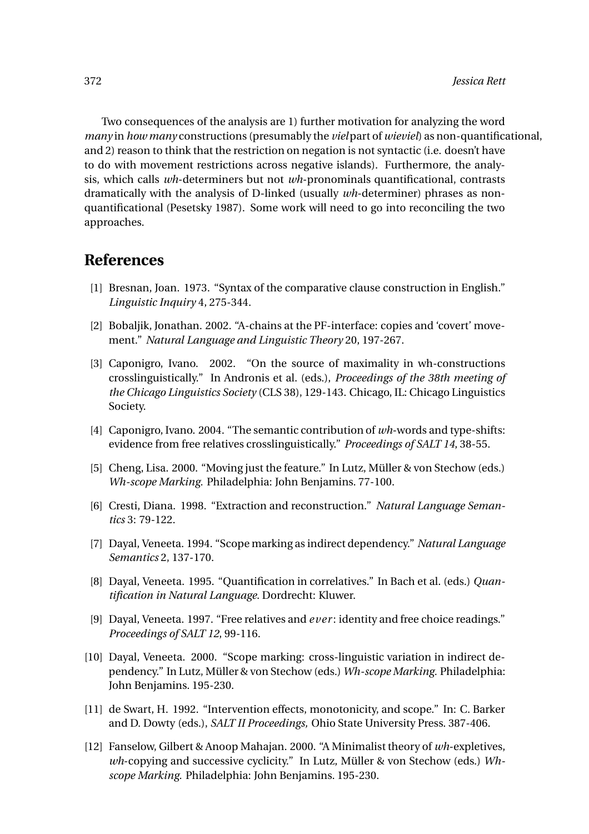Two consequences of the analysis are 1) further motivation for analyzing the word *many* in *how many* constructions (presumably the *viel*part of *wieviel*) as non-quantificational, and 2) reason to think that the restriction on negation is not syntactic (i.e. doesn't have to do with movement restrictions across negative islands). Furthermore, the analysis, which calls *wh*-determiners but not *wh*-pronominals quantificational, contrasts dramatically with the analysis of D-linked (usually *wh*-determiner) phrases as nonquantificational (Pesetsky 1987). Some work will need to go into reconciling the two approaches.

## **References**

- [1] Bresnan, Joan. 1973. "Syntax of the comparative clause construction in English." *Linguistic Inquiry* 4, 275-344.
- [2] Bobaljik, Jonathan. 2002. "A-chains at the PF-interface: copies and 'covert' movement." *Natural Language and Linguistic Theory* 20, 197-267.
- [3] Caponigro, Ivano. 2002. "On the source of maximality in wh-constructions crosslinguistically." In Andronis et al. (eds.), *Proceedings of the 38th meeting of the Chicago Linguistics Society* (CLS 38), 129-143. Chicago, IL: Chicago Linguistics Society.
- [4] Caponigro, Ivano. 2004. "The semantic contribution of *wh*-words and type-shifts: evidence from free relatives crosslinguistically." *Proceedings of SALT 14*, 38-55.
- [5] Cheng, Lisa. 2000. "Moving just the feature." In Lutz, Müller & von Stechow (eds.) *Wh-scope Marking.* Philadelphia: John Benjamins. 77-100.
- [6] Cresti, Diana. 1998. "Extraction and reconstruction." *Natural Language Semantics* 3: 79-122.
- [7] Dayal, Veneeta. 1994. "Scope marking as indirect dependency." *Natural Language Semantics* 2, 137-170.
- [8] Dayal, Veneeta. 1995. "Quantification in correlatives." In Bach et al. (eds.) *Quantification in Natural Language*. Dordrecht: Kluwer.
- [9] Dayal, Veneeta. 1997. "Free relatives and *e ver* : identity and free choice readings." *Proceedings of SALT 12*, 99-116.
- [10] Dayal, Veneeta. 2000. "Scope marking: cross-linguistic variation in indirect dependency." In Lutz, Müller & von Stechow (eds.) *Wh-scope Marking.* Philadelphia: John Benjamins. 195-230.
- [11] de Swart, H. 1992. "Intervention effects, monotonicity, and scope." In: C. Barker and D. Dowty (eds.), *SALT II Proceedings,* Ohio State University Press. 387-406.
- [12] Fanselow, Gilbert & Anoop Mahajan. 2000. "A Minimalist theory of *wh*-expletives, *wh*-copying and successive cyclicity." In Lutz, Müller & von Stechow (eds.) *Whscope Marking.* Philadelphia: John Benjamins. 195-230.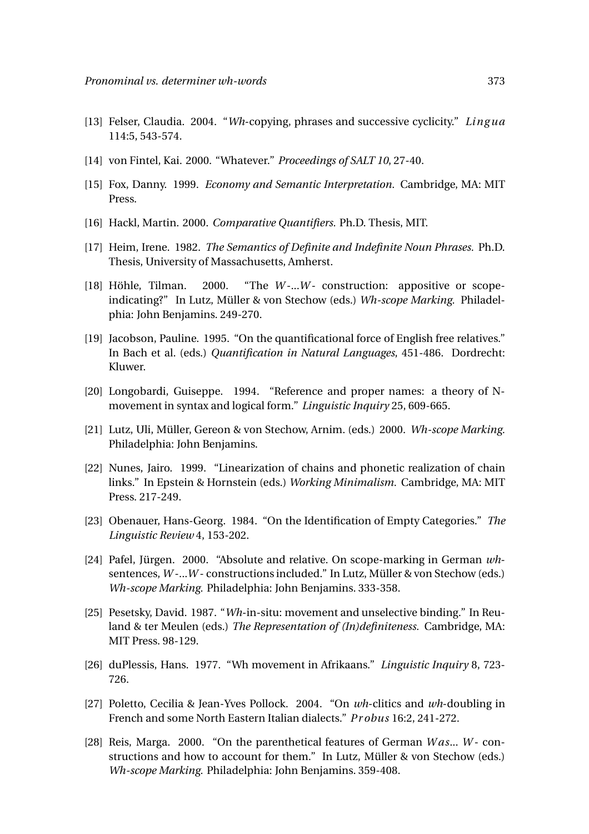- [13] Felser, Claudia. 2004. "*Wh*-copying, phrases and successive cyclicity." *Ling ua* 114:5, 543-574.
- [14] von Fintel, Kai. 2000. "Whatever." *Proceedings of SALT 10*, 27-40.
- [15] Fox, Danny. 1999. *Economy and Semantic Interpretation.* Cambridge, MA: MIT Press.
- [16] Hackl, Martin. 2000. *Comparative Quantifiers.* Ph.D. Thesis, MIT.
- [17] Heim, Irene. 1982. *The Semantics of Definite and Indefinite Noun Phrases.* Ph.D. Thesis, University of Massachusetts, Amherst.
- $[18]$  Höhle, Tilman. 2000. "The *W*-...W- construction: appositive or scopeindicating?" In Lutz, Müller & von Stechow (eds.) *Wh-scope Marking.* Philadelphia: John Benjamins. 249-270.
- [19] Jacobson, Pauline. 1995. "On the quantificational force of English free relatives." In Bach et al. (eds.) *Quantification in Natural Languages*, 451-486. Dordrecht: Kluwer.
- [20] Longobardi, Guiseppe. 1994. "Reference and proper names: a theory of Nmovement in syntax and logical form." *Linguistic Inquiry* 25, 609-665.
- [21] Lutz, Uli, Müller, Gereon & von Stechow, Arnim. (eds.) 2000. *Wh-scope Marking.* Philadelphia: John Benjamins.
- [22] Nunes, Jairo. 1999. "Linearization of chains and phonetic realization of chain links." In Epstein & Hornstein (eds.) *Working Minimalism.* Cambridge, MA: MIT Press. 217-249.
- [23] Obenauer, Hans-Georg. 1984. "On the Identification of Empty Categories." *The Linguistic Review* 4, 153-202.
- [24] Pafel, Jürgen. 2000. "Absolute and relative. On scope-marking in German *wh*sentences, *W* -...*W* - constructions included." In Lutz, Müller & von Stechow (eds.) *Wh-scope Marking.* Philadelphia: John Benjamins. 333-358.
- [25] Pesetsky, David. 1987. "*Wh*-in-situ: movement and unselective binding." In Reuland & ter Meulen (eds.) *The Representation of (In)definiteness.* Cambridge, MA: MIT Press. 98-129.
- [26] duPlessis, Hans. 1977. "Wh movement in Afrikaans." *Linguistic Inquiry* 8, 723- 726.
- [27] Poletto, Cecilia & Jean-Yves Pollock. 2004. "On *wh*-clitics and *wh*-doubling in French and some North Eastern Italian dialects." *Pr obus* 16:2, 241-272.
- [28] Reis, Marga. 2000. "On the parenthetical features of German *W as*... *W* constructions and how to account for them." In Lutz, Müller & von Stechow (eds.) *Wh-scope Marking.* Philadelphia: John Benjamins. 359-408.